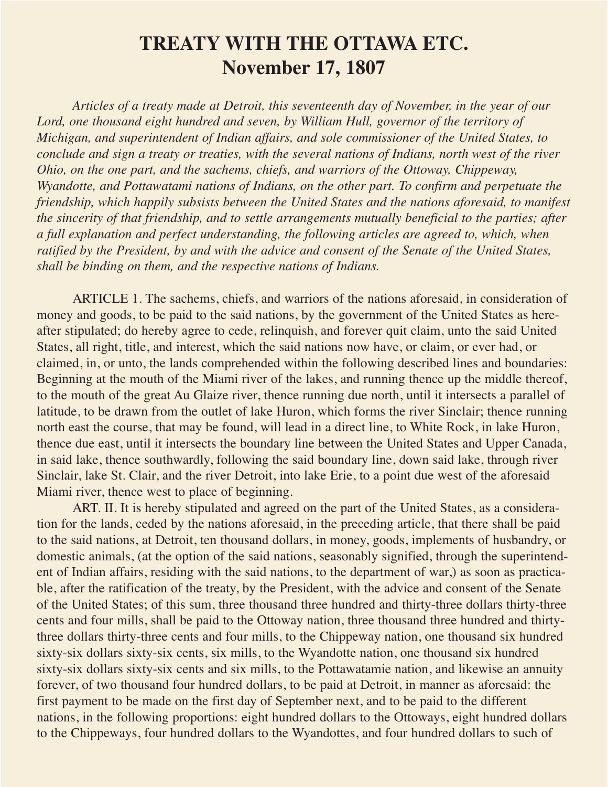## **TREATY WITH THE OTTAWA ETC. November 17, 1807**

*Articles of a treaty made at Detroit, this seventeenth day of November, in the year of our Lord, one thousand eight hundred and seven, by William Hull, governor of the territory of Michigan, and superintendent of Indian affairs, and sole commissioner of the United States, to conclude and sign a treaty or treaties, with the several nations of Indians, north west of the river Ohio, on the one part, and the sachems, chiefs, and warriors of the Ottoway, Chippeway, Wyandotte, and Pottawatami nations of Indians, on the other part. To confirm and perpetuate the friendship, which happily subsists between the United States and the nations aforesaid, to manifest the sincerity of that friendship, and to settle arrangements mutually beneficial to the parties; after a full explanation and perfect understanding, the following articles are agreed to, which, when ratified by the President, by and with the advice and consent of the Senate of the United States, shall be binding on them, and the respective nations of Indians.*

ARTICLE 1. The sachems, chiefs, and warriors of the nations aforesaid, in consideration of money and goods, to be paid to the said nations, by the government of the United States as hereafter stipulated; do hereby agree to cede, relinquish, and forever quit claim, unto the said United States, all right, title, and interest, which the said nations now have, or claim, or ever had, or claimed, in, or unto, the lands comprehended within the following described lines and boundaries: Beginning at the mouth of the Miami river of the lakes, and running thence up the middle thereof, to the mouth of the great Au Glaize river, thence running due north, until it intersects a parallel of latitude, to be drawn from the outlet of lake Huron, which forms the river Sinclair; thence running north east the course, that may be found, will lead in a direct line, to White Rock, in lake Huron, thence due east, until it intersects the boundary line between the United States and Upper Canada, in said lake, thence southwardly, following the said boundary line, down said lake, through river Sinclair, lake St. Clair, and the river Detroit, into lake Erie, to a point due west of the aforesaid Miami river, thence west to place of beginning.

ART. II. It is hereby stipulated and agreed on the part of the United States, as a consideration for the lands, ceded by the nations aforesaid, in the preceding article, that there shall be paid to the said nations, at Detroit, ten thousand dollars, in money, goods, implements of husbandry, or domestic animals, (at the option of the said nations, seasonably signified, through the superintendent of Indian affairs, residing with the said nations, to the department of war,) as soon as practicable, after the ratification of the treaty, by the President, with the advice and consent of the Senate of the United States; of this sum, three thousand three hundred and thirty-three dollars thirty-three cents and four mills, shall be paid to the Ottoway nation, three thousand three hundred and thirtythree dollars thirty-three cents and four mills, to the Chippeway nation, one thousand six hundred sixty-six dollars sixty-six cents, six mills, to the Wyandotte nation, one thousand six hundred sixty-six dollars sixty-six cents and six mills, to the Pottawatamie nation, and likewise an annuity forever, of two thousand four hundred dollars, to be paid at Detroit, in manner as aforesaid: the first payment to be made on the first day of September next, and to be paid to the different nations, in the following proportions: eight hundred dollars to the Ottoways, eight hundred dollars to the Chippeways, four hundred dollars to the Wyandottes, and four hundred dollars to such of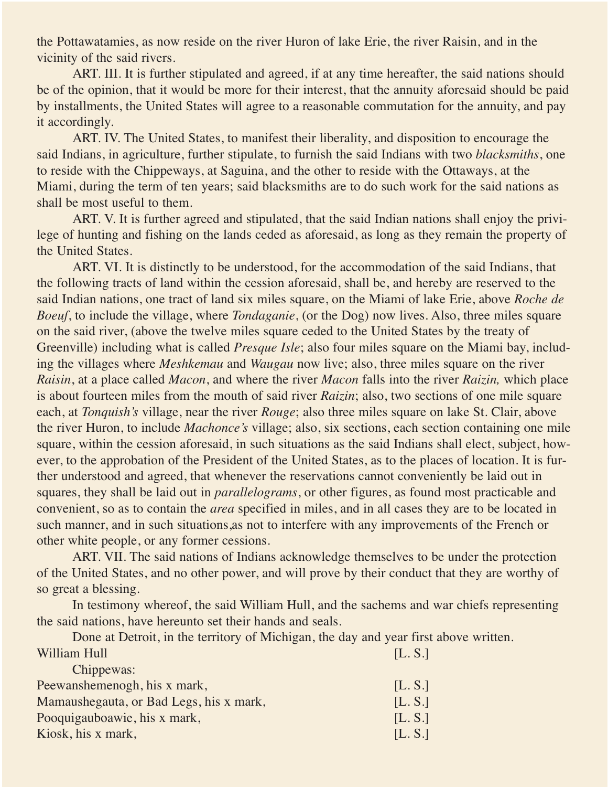the Pottawatamies, as now reside on the river Huron of lake Erie, the river Raisin, and in the vicinity of the said rivers.

ART. III. It is further stipulated and agreed, if at any time hereafter, the said nations should be of the opinion, that it would be more for their interest, that the annuity aforesaid should be paid by installments, the United States will agree to a reasonable commutation for the annuity, and pay it accordingly.

ART. IV. The United States, to manifest their liberality, and disposition to encourage the said Indians, in agriculture, further stipulate, to furnish the said Indians with two *blacksmiths*, one to reside with the Chippeways, at Saguina, and the other to reside with the Ottaways, at the Miami, during the term of ten years; said blacksmiths are to do such work for the said nations as shall be most useful to them.

ART. V. It is further agreed and stipulated, that the said Indian nations shall enjoy the privilege of hunting and fishing on the lands ceded as aforesaid, as long as they remain the property of the United States.

ART. VI. It is distinctly to be understood, for the accommodation of the said Indians, that the following tracts of land within the cession aforesaid, shall be, and hereby are reserved to the said Indian nations, one tract of land six miles square, on the Miami of lake Erie, above *Roche de Boeuf*, to include the village, where *Tondaganie*, (or the Dog) now lives. Also, three miles square on the said river, (above the twelve miles square ceded to the United States by the treaty of Greenville) including what is called *Presque Isle*; also four miles square on the Miami bay, including the villages where *Meshkemau* and *Waugau* now live; also, three miles square on the river *Raisin*, at a place called *Macon*, and where the river *Macon* falls into the river *Raizin,* which place is about fourteen miles from the mouth of said river *Raizin*; also, two sections of one mile square each, at *Tonquish's* village, near the river *Rouge*; also three miles square on lake St. Clair, above the river Huron, to include *Machonce's* village; also, six sections, each section containing one mile square, within the cession aforesaid, in such situations as the said Indians shall elect, subject, however, to the approbation of the President of the United States, as to the places of location. It is further understood and agreed, that whenever the reservations cannot conveniently be laid out in squares, they shall be laid out in *parallelograms*, or other figures, as found most practicable and convenient, so as to contain the *area* specified in miles, and in all cases they are to be located in such manner, and in such situations,as not to interfere with any improvements of the French or other white people, or any former cessions.

ART. VII. The said nations of Indians acknowledge themselves to be under the protection of the United States, and no other power, and will prove by their conduct that they are worthy of so great a blessing.

In testimony whereof, the said William Hull, and the sachems and war chiefs representing the said nations, have hereunto set their hands and seals.

Done at Detroit, in the territory of Michigan, the day and year first above written. William Hull **Executive Contract Contract Contract Contract Contract Contract Contract Contract Contract Contract Contract Contract Contract Contract Contract Contract Contract Contract Contract Contract Contract Contract** 

| [L, S.] |
|---------|
| [L.S.]  |
| [L.S.]  |
| [L.S.]  |
|         |